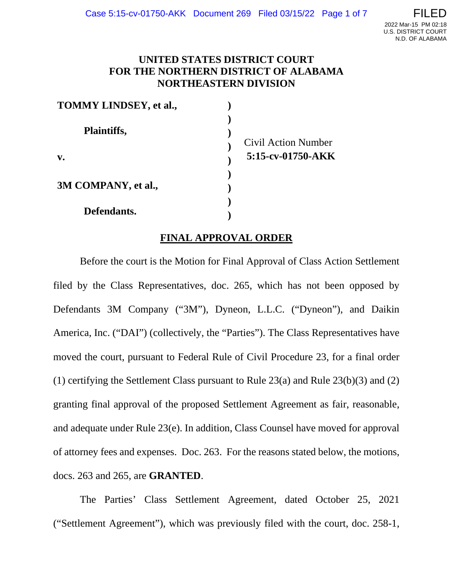# **UNITED STATES DISTRICT COURT FOR THE NORTHERN DISTRICT OF ALABAMA NORTHEASTERN DIVISION**

| <b>TOMMY LINDSEY, et al.,</b> |                     |
|-------------------------------|---------------------|
| Plaintiffs,                   | Civil Action Number |
| $V_{\bullet}$                 | 5:15-cv-01750-AKK   |
| 3M COMPANY, et al.,           |                     |
| Defendants.                   |                     |

# **FINAL APPROVAL ORDER**

Before the court is the Motion for Final Approval of Class Action Settlement filed by the Class Representatives, doc. 265, which has not been opposed by Defendants 3M Company ("3M"), Dyneon, L.L.C. ("Dyneon"), and Daikin America, Inc. ("DAI") (collectively, the "Parties"). The Class Representatives have moved the court, pursuant to Federal Rule of Civil Procedure 23, for a final order (1) certifying the Settlement Class pursuant to Rule 23(a) and Rule 23(b)(3) and (2) granting final approval of the proposed Settlement Agreement as fair, reasonable, and adequate under Rule 23(e). In addition, Class Counsel have moved for approval of attorney fees and expenses. Doc. 263. For the reasons stated below, the motions, docs. 263 and 265, are **GRANTED**.

The Parties' Class Settlement Agreement, dated October 25, 2021 ("Settlement Agreement"), which was previously filed with the court, doc. 258-1,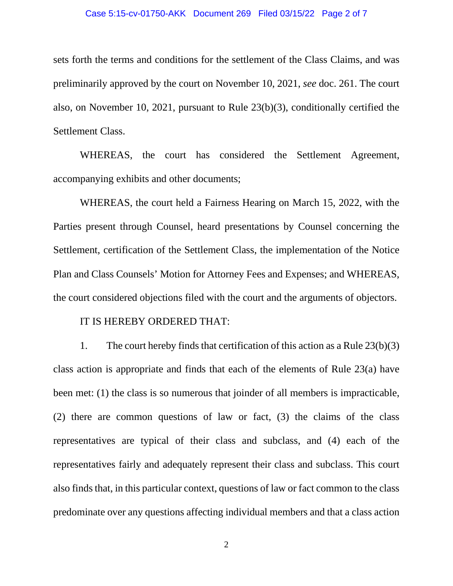### Case 5:15-cv-01750-AKK Document 269 Filed 03/15/22 Page 2 of 7

sets forth the terms and conditions for the settlement of the Class Claims, and was preliminarily approved by the court on November 10, 2021, *see* doc. 261. The court also, on November 10, 2021, pursuant to Rule 23(b)(3), conditionally certified the Settlement Class.

WHEREAS, the court has considered the Settlement Agreement, accompanying exhibits and other documents;

WHEREAS, the court held a Fairness Hearing on March 15, 2022, with the Parties present through Counsel, heard presentations by Counsel concerning the Settlement, certification of the Settlement Class, the implementation of the Notice Plan and Class Counsels' Motion for Attorney Fees and Expenses; and WHEREAS, the court considered objections filed with the court and the arguments of objectors.

### IT IS HEREBY ORDERED THAT:

1. The court hereby finds that certification of this action as a Rule 23(b)(3) class action is appropriate and finds that each of the elements of Rule 23(a) have been met: (1) the class is so numerous that joinder of all members is impracticable, (2) there are common questions of law or fact, (3) the claims of the class representatives are typical of their class and subclass, and (4) each of the representatives fairly and adequately represent their class and subclass. This court also finds that, in this particular context, questions of law or fact common to the class predominate over any questions affecting individual members and that a class action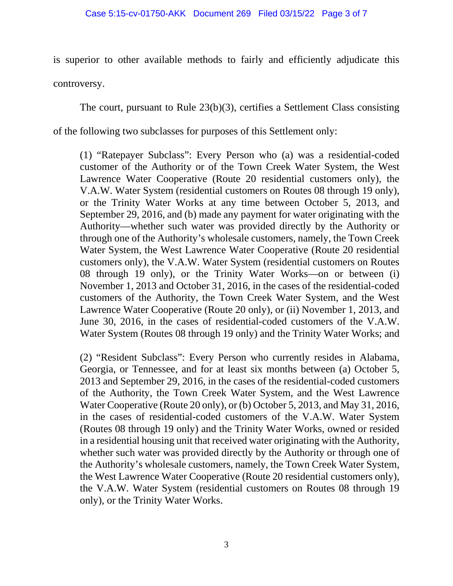is superior to other available methods to fairly and efficiently adjudicate this controversy.

The court, pursuant to Rule 23(b)(3), certifies a Settlement Class consisting

of the following two subclasses for purposes of this Settlement only:

(1) "Ratepayer Subclass": Every Person who (a) was a residential-coded customer of the Authority or of the Town Creek Water System, the West Lawrence Water Cooperative (Route 20 residential customers only), the V.A.W. Water System (residential customers on Routes 08 through 19 only), or the Trinity Water Works at any time between October 5, 2013, and September 29, 2016, and (b) made any payment for water originating with the Authority—whether such water was provided directly by the Authority or through one of the Authority's wholesale customers, namely, the Town Creek Water System, the West Lawrence Water Cooperative (Route 20 residential customers only), the V.A.W. Water System (residential customers on Routes 08 through 19 only), or the Trinity Water Works—on or between (i) November 1, 2013 and October 31, 2016, in the cases of the residential-coded customers of the Authority, the Town Creek Water System, and the West Lawrence Water Cooperative (Route 20 only), or (ii) November 1, 2013, and June 30, 2016, in the cases of residential-coded customers of the V.A.W. Water System (Routes 08 through 19 only) and the Trinity Water Works; and

(2) "Resident Subclass": Every Person who currently resides in Alabama, Georgia, or Tennessee, and for at least six months between (a) October 5, 2013 and September 29, 2016, in the cases of the residential-coded customers of the Authority, the Town Creek Water System, and the West Lawrence Water Cooperative (Route 20 only), or (b) October 5, 2013, and May 31, 2016, in the cases of residential-coded customers of the V.A.W. Water System (Routes 08 through 19 only) and the Trinity Water Works, owned or resided in a residential housing unit that received water originating with the Authority, whether such water was provided directly by the Authority or through one of the Authority's wholesale customers, namely, the Town Creek Water System, the West Lawrence Water Cooperative (Route 20 residential customers only), the V.A.W. Water System (residential customers on Routes 08 through 19 only), or the Trinity Water Works.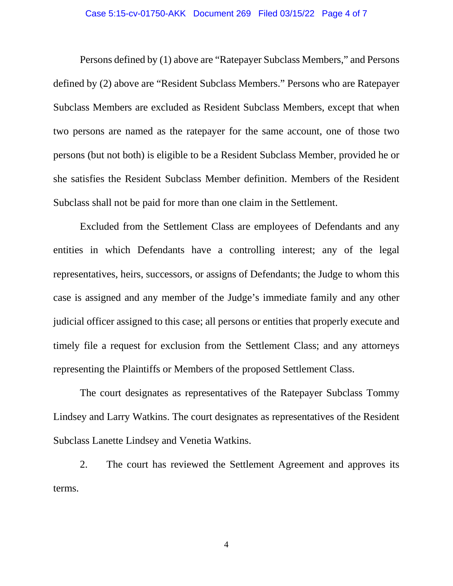#### Case 5:15-cv-01750-AKK Document 269 Filed 03/15/22 Page 4 of 7

Persons defined by (1) above are "Ratepayer Subclass Members," and Persons defined by (2) above are "Resident Subclass Members." Persons who are Ratepayer Subclass Members are excluded as Resident Subclass Members, except that when two persons are named as the ratepayer for the same account, one of those two persons (but not both) is eligible to be a Resident Subclass Member, provided he or she satisfies the Resident Subclass Member definition. Members of the Resident Subclass shall not be paid for more than one claim in the Settlement.

Excluded from the Settlement Class are employees of Defendants and any entities in which Defendants have a controlling interest; any of the legal representatives, heirs, successors, or assigns of Defendants; the Judge to whom this case is assigned and any member of the Judge's immediate family and any other judicial officer assigned to this case; all persons or entities that properly execute and timely file a request for exclusion from the Settlement Class; and any attorneys representing the Plaintiffs or Members of the proposed Settlement Class.

The court designates as representatives of the Ratepayer Subclass Tommy Lindsey and Larry Watkins. The court designates as representatives of the Resident Subclass Lanette Lindsey and Venetia Watkins.

2. The court has reviewed the Settlement Agreement and approves its terms.

4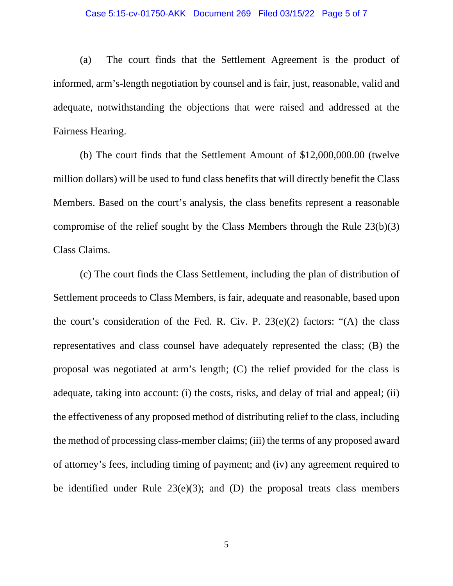#### Case 5:15-cv-01750-AKK Document 269 Filed 03/15/22 Page 5 of 7

(a) The court finds that the Settlement Agreement is the product of informed, arm's-length negotiation by counsel and is fair, just, reasonable, valid and adequate, notwithstanding the objections that were raised and addressed at the Fairness Hearing.

(b) The court finds that the Settlement Amount of \$12,000,000.00 (twelve million dollars) will be used to fund class benefits that will directly benefit the Class Members. Based on the court's analysis, the class benefits represent a reasonable compromise of the relief sought by the Class Members through the Rule 23(b)(3) Class Claims.

(c) The court finds the Class Settlement, including the plan of distribution of Settlement proceeds to Class Members, is fair, adequate and reasonable, based upon the court's consideration of the Fed. R. Civ. P.  $23(e)(2)$  factors: "(A) the class representatives and class counsel have adequately represented the class; (B) the proposal was negotiated at arm's length; (C) the relief provided for the class is adequate, taking into account: (i) the costs, risks, and delay of trial and appeal; (ii) the effectiveness of any proposed method of distributing relief to the class, including the method of processing class-member claims; (iii) the terms of any proposed award of attorney's fees, including timing of payment; and (iv) any agreement required to be identified under Rule  $23(e)(3)$ ; and (D) the proposal treats class members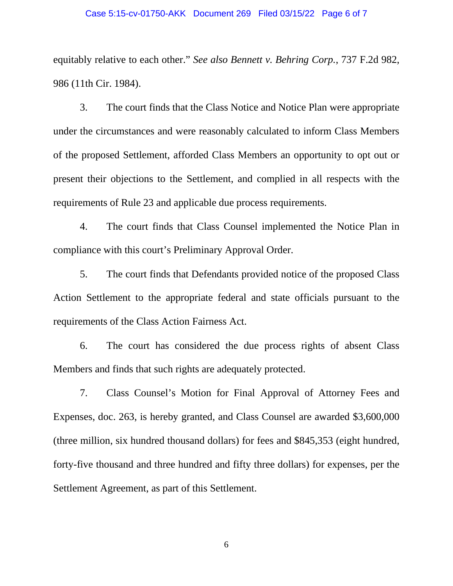#### Case 5:15-cv-01750-AKK Document 269 Filed 03/15/22 Page 6 of 7

equitably relative to each other." *See also Bennett v. Behring Corp.*, 737 F.2d 982, 986 (11th Cir. 1984).

3. The court finds that the Class Notice and Notice Plan were appropriate under the circumstances and were reasonably calculated to inform Class Members of the proposed Settlement, afforded Class Members an opportunity to opt out or present their objections to the Settlement, and complied in all respects with the requirements of Rule 23 and applicable due process requirements.

4. The court finds that Class Counsel implemented the Notice Plan in compliance with this court's Preliminary Approval Order.

5. The court finds that Defendants provided notice of the proposed Class Action Settlement to the appropriate federal and state officials pursuant to the requirements of the Class Action Fairness Act.

6. The court has considered the due process rights of absent Class Members and finds that such rights are adequately protected.

7. Class Counsel's Motion for Final Approval of Attorney Fees and Expenses, doc. 263, is hereby granted, and Class Counsel are awarded \$3,600,000 (three million, six hundred thousand dollars) for fees and \$845,353 (eight hundred, forty-five thousand and three hundred and fifty three dollars) for expenses, per the Settlement Agreement, as part of this Settlement.

6